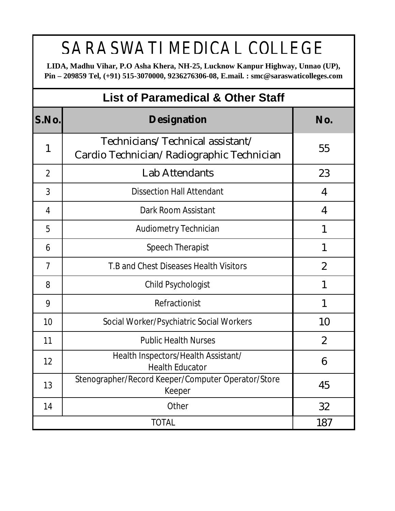## SARASWATI MEDICAL COLLEGE

**LIDA, Madhu Vihar, P.O Asha Khera, NH-25, Lucknow Kanpur Highway, Unnao (UP), Pin – 209859 Tel, (+91) 515-3070000, 9236276306-08, E.mail. : [smc@saraswaticolleges.com](mailto:smc@saraswaticolleges.com)** 

| <b>List of Paramedical &amp; Other Staff</b> |                                                                               |                |  |  |  |  |
|----------------------------------------------|-------------------------------------------------------------------------------|----------------|--|--|--|--|
| S.No.                                        | <b>Designation</b>                                                            | No.            |  |  |  |  |
| 1                                            | Technicians/Technical assistant/<br>Cardio Technician/Radiographic Technician | 55             |  |  |  |  |
| $\overline{2}$                               | Lab Attendants                                                                | 23             |  |  |  |  |
| 3                                            | <b>Dissection Hall Attendant</b>                                              | 4              |  |  |  |  |
| 4                                            | Dark Room Assistant                                                           | 4              |  |  |  |  |
| 5                                            | <b>Audiometry Technician</b>                                                  | 1              |  |  |  |  |
| 6                                            | Speech Therapist                                                              | 1              |  |  |  |  |
| 7                                            | T.B and Chest Diseases Health Visitors                                        | $\overline{2}$ |  |  |  |  |
| 8                                            | Child Psychologist                                                            | 1              |  |  |  |  |
| 9                                            | Refractionist                                                                 | 1              |  |  |  |  |
| 10                                           | Social Worker/Psychiatric Social Workers                                      | 10             |  |  |  |  |
| 11                                           | <b>Public Health Nurses</b>                                                   | $\overline{2}$ |  |  |  |  |
| 12                                           | Health Inspectors/Health Assistant/<br><b>Health Educator</b>                 | 6              |  |  |  |  |
| 13                                           | Stenographer/Record Keeper/Computer Operator/Store<br>Keeper                  | 45             |  |  |  |  |
| 14                                           | Other                                                                         | 32             |  |  |  |  |
| 187<br><b>TOTAL</b>                          |                                                                               |                |  |  |  |  |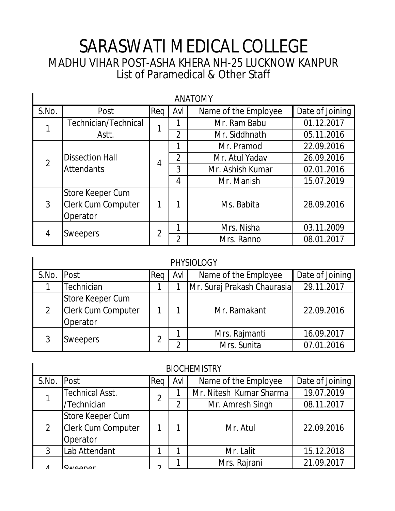## List of Paramedical & Other Staff SARASWATI MEDICAL COLLEGE MADHU VIHAR POST-ASHA KHERA NH-25 LUCKNOW KANPUR

| <b>ANATOMY</b> |                                                    |                |                |                      |                 |  |  |  |
|----------------|----------------------------------------------------|----------------|----------------|----------------------|-----------------|--|--|--|
| S.No.          | Post                                               | Req            | Avl            | Name of the Employee | Date of Joining |  |  |  |
|                | Technician/Technical                               | 1              |                | Mr. Ram Babu         | 01.12.2017      |  |  |  |
|                | Astt.                                              |                | $\overline{2}$ | Mr. Siddhnath        | 05.11.2016      |  |  |  |
|                |                                                    |                |                | Mr. Pramod           | 22.09.2016      |  |  |  |
| $\overline{2}$ | <b>Dissection Hall</b><br><b>Attendants</b>        | 4              | $\overline{2}$ | Mr. Atul Yadav       | 26.09.2016      |  |  |  |
|                |                                                    |                | 3              | Mr. Ashish Kumar     | 02.01.2016      |  |  |  |
|                |                                                    |                | 4              | Mr. Manish           | 15.07.2019      |  |  |  |
| $\mathfrak{Z}$ | Store Keeper Cum<br>Clerk Cum Computer<br>Operator | 1              |                | Ms. Babita           | 28.09.2016      |  |  |  |
| 4              |                                                    | $\overline{2}$ | 1              | Mrs. Nisha           | 03.11.2009      |  |  |  |
|                | Sweepers                                           |                | $\overline{2}$ | Mrs. Ranno           | 08.01.2017      |  |  |  |

|       | <b>PHYSIOLOGY</b>                                  |     |     |                             |                 |  |  |  |
|-------|----------------------------------------------------|-----|-----|-----------------------------|-----------------|--|--|--|
| S.No. | Post                                               | Req | Avl | Name of the Employee        | Date of Joining |  |  |  |
|       | Technician                                         |     |     | Mr. Suraj Prakash Chaurasia | 29.11.2017      |  |  |  |
| 2     | Store Keeper Cum<br>Clerk Cum Computer<br>Operator |     |     | Mr. Ramakant                | 22.09.2016      |  |  |  |
|       |                                                    |     |     | Mrs. Rajmanti               | 16.09.2017      |  |  |  |
|       | <b>Sweepers</b>                                    |     | ኅ   | Mrs. Sunita                 | 07.01.2016      |  |  |  |

| <b>BIOCHEMISTRY</b> |                           |                |     |                         |                 |  |  |
|---------------------|---------------------------|----------------|-----|-------------------------|-----------------|--|--|
| S.No.               | <b>Post</b>               | Req            | Avl | Name of the Employee    | Date of Joining |  |  |
|                     | Technical Asst.           | $\overline{2}$ |     | Mr. Nitesh Kumar Sharma | 19.07.2019      |  |  |
|                     | /Technician               |                | 2   | Mr. Amresh Singh        | 08.11.2017      |  |  |
|                     | <b>Store Keeper Cum</b>   |                |     |                         |                 |  |  |
| 2                   | <b>Clerk Cum Computer</b> |                |     | Mr. Atul                | 22.09.2016      |  |  |
|                     | Operator                  |                |     |                         |                 |  |  |
| 3                   | Lab Attendant             |                |     | Mr. Lalit               | 15.12.2018      |  |  |
| Λ                   | $C_{MOOM}$                | ⌒              |     | Mrs. Rajrani            | 21.09.2017      |  |  |
|                     |                           |                |     |                         |                 |  |  |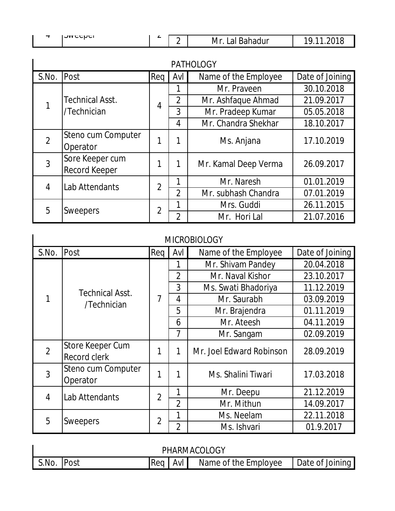| <b>A.A.</b>                                                                                                       |   |
|-------------------------------------------------------------------------------------------------------------------|---|
| <b>JAACCMCI</b><br>-<br>Mr<br><b>a</b><br>מר<br>ldi.<br>nuu.<br>$\sim$<br>-<br>.<br>-<br>$\overline{\phantom{0}}$ | ∼ |

| <b>PATHOLOGY</b> |                      |                |                |                      |                 |  |  |
|------------------|----------------------|----------------|----------------|----------------------|-----------------|--|--|
| S.No.            | Post                 | Req            | Avl            | Name of the Employee | Date of Joining |  |  |
|                  |                      |                |                | Mr. Praveen          | 30.10.2018      |  |  |
| 1                | Technical Asst.      | $\overline{4}$ | $\overline{2}$ | Mr. Ashfaque Ahmad   | 21.09.2017      |  |  |
|                  | /Technician          |                | 3              | Mr. Pradeep Kumar    | 05.05.2018      |  |  |
|                  |                      |                | 4              | Mr. Chandra Shekhar  | 18.10.2017      |  |  |
| $\overline{2}$   | Steno cum Computer   |                |                | Ms. Anjana           | 17.10.2019      |  |  |
|                  | Operator             |                |                |                      |                 |  |  |
| 3                | Sore Keeper cum      |                | 1              | Mr. Kamal Deep Verma | 26.09.2017      |  |  |
|                  | <b>Record Keeper</b> |                |                |                      |                 |  |  |
| $\overline{4}$   | Lab Attendants       | $\overline{2}$ | 1              | Mr. Naresh           | 01.01.2019      |  |  |
|                  |                      |                | $\overline{2}$ | Mr. subhash Chandra  | 07.01.2019      |  |  |
|                  |                      |                | 1              | Mrs. Guddi           | 26.11.2015      |  |  |
| 5                | <b>Sweepers</b>      | $\overline{2}$ | $\overline{2}$ | Mr. Hori Lal         | 21.07.2016      |  |  |

#### MICROBIOLOGY

| S.No.          | Post                             | Reg            | Avl            | Name of the Employee     | Date of Joining |
|----------------|----------------------------------|----------------|----------------|--------------------------|-----------------|
|                |                                  |                |                | Mr. Shivam Pandey        | 20.04.2018      |
|                |                                  |                | $\overline{2}$ | Mr. Naval Kishor         | 23.10.2017      |
|                | <b>Technical Asst.</b>           |                | 3              | Ms. Swati Bhadoriya      | 11.12.2019      |
|                | /Technician                      | 7              | 4              | Mr. Saurabh              | 03.09.2019      |
|                |                                  |                | 5              | Mr. Brajendra            | 01.11.2019      |
|                |                                  |                | 6              | Mr. Ateesh               | 04.11.2019      |
|                |                                  |                | 7              | Mr. Sangam               | 02.09.2019      |
| $\overline{2}$ | Store Keeper Cum<br>Record clerk | 1              | 1              | Mr. Joel Edward Robinson | 28.09.2019      |
| 3              | Steno cum Computer<br>Operator   | 1              |                | Ms. Shalini Tiwari       | 17.03.2018      |
| $\overline{4}$ | Lab Attendants                   | $\overline{2}$ | 1              | Mr. Deepu                | 21.12.2019      |
|                |                                  |                | $\overline{2}$ | Mr. Mithun               | 14.09.2017      |
| 5              |                                  | $\overline{2}$ | 1              | Ms. Neelam               | 22.11.2018      |
|                | <b>Sweepers</b>                  |                | $\overline{2}$ | Ms. Ishvari              | 01.9.2017       |

| PHARMACOLOGY |              |           |  |                      |                 |  |
|--------------|--------------|-----------|--|----------------------|-----------------|--|
| S.No.        | <b>IPost</b> | Reg   Avl |  | Name of the Employee | Date of Joining |  |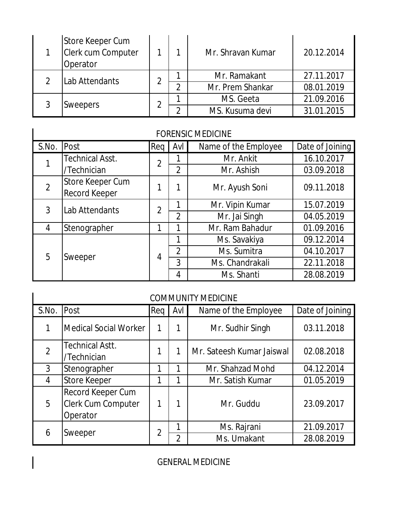|  | Store Keeper Cum<br>Clerk cum Computer<br>Operator |   |   | Mr. Shravan Kumar | 20.12.2014 |
|--|----------------------------------------------------|---|---|-------------------|------------|
|  | Lab Attendants                                     | ኅ |   | Mr. Ramakant      | 27.11.2017 |
|  |                                                    |   | ◠ | Mr. Prem Shankar  | 08.01.2019 |
|  | <b>Sweepers</b>                                    | ◠ |   | MS. Geeta         | 21.09.2016 |
|  |                                                    |   |   | MS. Kusuma devi   | 31.01.2015 |

#### FORENSIC MEDICINE

| <b>FORENSIC MEDICINE</b> |                                          |                |                |                      |                 |  |  |
|--------------------------|------------------------------------------|----------------|----------------|----------------------|-----------------|--|--|
| S.No.                    | Post                                     | Reg            | Avl            | Name of the Employee | Date of Joining |  |  |
|                          | <b>Technical Asst.</b>                   | $\overline{2}$ |                | Mr. Ankit            | 16.10.2017      |  |  |
|                          | /Technician                              |                | $\overline{2}$ | Mr. Ashish           | 03.09.2018      |  |  |
| $\overline{2}$           | Store Keeper Cum<br><b>Record Keeper</b> | 1              | 1              | Mr. Ayush Soni       | 09.11.2018      |  |  |
| 3                        | Lab Attendants                           | $\overline{2}$ | 1              | Mr. Vipin Kumar      | 15.07.2019      |  |  |
|                          |                                          |                | $\overline{2}$ | Mr. Jai Singh        | 04.05.2019      |  |  |
| 4                        | Stenographer                             | 1              | 1              | Mr. Ram Bahadur      | 01.09.2016      |  |  |
|                          |                                          | 4              | 1              | Ms. Savakiya         | 09.12.2014      |  |  |
| 5                        | Sweeper                                  |                | $\overline{2}$ | Ms. Sumitra          | 04.10.2017      |  |  |
|                          |                                          |                | 3              | Ms. Chandrakali      | 22.11.2018      |  |  |
|                          |                                          |                | 4              | Ms. Shanti           | 28.08.2019      |  |  |

#### COMMUNITY MEDICINE

| <b>COMMUNITY MEDICINE</b> |                                                     |                |                |                           |                 |  |  |  |
|---------------------------|-----------------------------------------------------|----------------|----------------|---------------------------|-----------------|--|--|--|
| S.No.                     | Post                                                | Req            | Avl            | Name of the Employee      | Date of Joining |  |  |  |
|                           | Medical Social Worker                               | 1              |                | Mr. Sudhir Singh          | 03.11.2018      |  |  |  |
| $\overline{2}$            | <b>Technical Astt.</b><br>/Technician               | 1              |                | Mr. Sateesh Kumar Jaiswal | 02.08.2018      |  |  |  |
| 3                         | Stenographer                                        | 1              |                | Mr. Shahzad Mohd          | 04.12.2014      |  |  |  |
| 4                         | <b>Store Keeper</b>                                 | 1              |                | Mr. Satish Kumar          | 01.05.2019      |  |  |  |
| 5                         | Record Keeper Cum<br>Clerk Cum Computer<br>Operator | 1              |                | Mr. Guddu                 | 23.09.2017      |  |  |  |
| 6                         |                                                     | $\overline{2}$ |                | Ms. Rajrani               | 21.09.2017      |  |  |  |
|                           | Sweeper                                             |                | $\overline{2}$ | Ms. Umakant               | 28.08.2019      |  |  |  |

GENERAL MEDICINE

 $\overline{\phantom{a}}$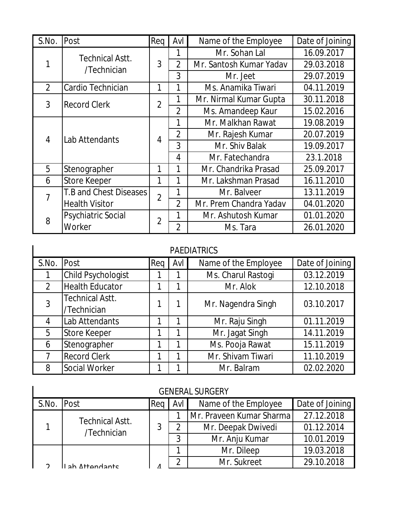| S.No.          | Post                      | Req            | Avl            | Name of the Employee    | Date of Joining |
|----------------|---------------------------|----------------|----------------|-------------------------|-----------------|
|                | <b>Technical Astt.</b>    |                |                | Mr. Sohan Lal           | 16.09.2017      |
| 1              | /Technician               | 3              | $\overline{2}$ | Mr. Santosh Kumar Yadav | 29.03.2018      |
|                |                           |                | 3              | Mr. Jeet                | 29.07.2019      |
| $\overline{2}$ | Cardio Technician         | 1              | 1              | Ms. Anamika Tiwari      | 04.11.2019      |
| 3              | <b>Record Clerk</b>       | $\overline{2}$ | 1              | Mr. Nirmal Kumar Gupta  | 30.11.2018      |
|                |                           |                | $\overline{2}$ | Ms. Amandeep Kaur       | 15.02.2016      |
|                | Lab Attendants            |                | 1              | Mr. Malkhan Rawat       | 19.08.2019      |
| 4              |                           | 4              | $\overline{2}$ | Mr. Rajesh Kumar        | 20.07.2019      |
|                |                           |                | 3              | Mr. Shiv Balak          | 19.09.2017      |
|                |                           |                | $\overline{4}$ | Mr. Fatechandra         | 23.1.2018       |
| 5              | Stenographer              | 1              | 1              | Mr. Chandrika Prasad    | 25.09.2017      |
| 6              | <b>Store Keeper</b>       | 1              | 1              | Mr. Lakshman Prasad     | 16.11.2010      |
| $\overline{7}$ | T.B and Chest Diseases    | $\overline{2}$ |                | Mr. Balveer             | 13.11.2019      |
|                | <b>Health Visitor</b>     |                | $\overline{2}$ | Mr. Prem Chandra Yadav  | 04.01.2020      |
| 8              | <b>Psychiatric Social</b> | $\overline{2}$ | 1              | Mr. Ashutosh Kumar      | 01.01.2020      |
|                | Worker                    |                | $\overline{2}$ | Ms. Tara                | 26.01.2020      |

#### PAEDIATRICS

 $\mathsf{l}$ 

| S.No.          | Post                   | Req | Avl | Name of the Employee | Date of Joining |
|----------------|------------------------|-----|-----|----------------------|-----------------|
|                | Child Psychologist     |     |     | Ms. Charul Rastogi   | 03.12.2019      |
| $\overline{2}$ | <b>Health Educator</b> |     |     | Mr. Alok             | 12.10.2018      |
| 3              | <b>Technical Astt.</b> |     |     | Mr. Nagendra Singh   | 03.10.2017      |
|                | /Technician            |     |     |                      |                 |
| 4              | Lab Attendants         |     |     | Mr. Raju Singh       | 01.11.2019      |
| 5              | <b>Store Keeper</b>    |     |     | Mr. Jagat Singh      | 14.11.2019      |
| 6              | Stenographer           |     |     | Ms. Pooja Rawat      | 15.11.2019      |
|                | <b>Record Clerk</b>    |     |     | Mr. Shivam Tiwari    | 11.10.2019      |
| 8              | Social Worker          |     |     | Mr. Balram           | 02.02.2020      |

| <b>GENERAL SURGERY</b> |                        |     |     |                          |                 |  |  |  |  |  |
|------------------------|------------------------|-----|-----|--------------------------|-----------------|--|--|--|--|--|
| S.No. Post             |                        | Req | Avl | Name of the Employee     | Date of Joining |  |  |  |  |  |
|                        | <b>Technical Astt.</b> |     |     | Mr. Praveen Kumar Sharma | 27.12.2018      |  |  |  |  |  |
|                        | /Technician            | 3   | 2   | Mr. Deepak Dwivedi       | 01.12.2014      |  |  |  |  |  |
|                        |                        |     | 3   | Mr. Anju Kumar           | 10.01.2019      |  |  |  |  |  |
|                        |                        |     |     | Mr. Dileep               | 19.03.2018      |  |  |  |  |  |
|                        | ah Attondante          |     | ◠   | Mr. Sukreet              | 29.10.2018      |  |  |  |  |  |
|                        |                        |     |     |                          |                 |  |  |  |  |  |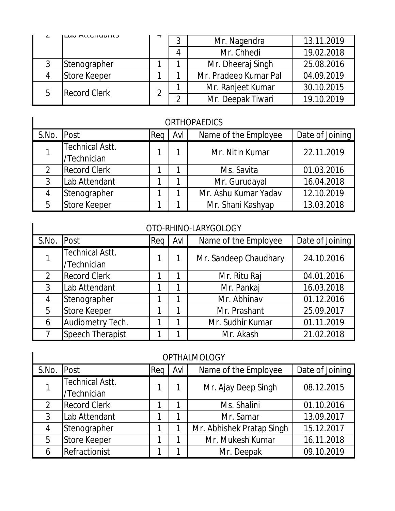|  | ובמט הנוכחוסטות     |   | Mr. Nagendra          | 13.11.2019 |
|--|---------------------|---|-----------------------|------------|
|  |                     |   | Mr. Chhedi            | 19.02.2018 |
|  | Stenographer        |   | Mr. Dheeraj Singh     | 25.08.2016 |
|  | Store Keeper        |   | Mr. Pradeep Kumar Pal | 04.09.2019 |
|  | <b>Record Clerk</b> | ◠ | Mr. Ranjeet Kumar     | 30.10.2015 |
|  |                     |   | Mr. Deepak Tiwari     | 19.10.2019 |

#### ORTHOPAEDICS

| S.No. Post |                                       | $\textsf{Req}$ $\textsf{I}$ | Avl | Name of the Employee | Date of Joining |
|------------|---------------------------------------|-----------------------------|-----|----------------------|-----------------|
|            | <b>Technical Astt.</b><br>/Technician |                             |     | Mr. Nitin Kumar      | 22.11.2019      |
| 2          | <b>Record Clerk</b>                   |                             |     | Ms. Savita           | 01.03.2016      |
| 3          | Lab Attendant                         |                             |     | Mr. Gurudayal        | 16.04.2018      |
| 4          | Stenographer                          |                             |     | Mr. Ashu Kumar Yadav | 12.10.2019      |
| 5          | Store Keeper                          |                             |     | Mr. Shani Kashyap    | 13.03.2018      |

#### OTO-RHINO-LARYGOLOGY

ı

 $\blacksquare$ 

| S.No. | Post                                  | Req | Avl | Name of the Employee  | Date of Joining |
|-------|---------------------------------------|-----|-----|-----------------------|-----------------|
|       | <b>Technical Astt.</b><br>/Technician |     |     | Mr. Sandeep Chaudhary | 24.10.2016      |
| 2     | <b>Record Clerk</b>                   |     |     | Mr. Ritu Raj          | 04.01.2016      |
| 3     | Lab Attendant                         |     |     | Mr. Pankaj            | 16.03.2018      |
| 4     | Stenographer                          |     |     | Mr. Abhinav           | 01.12.2016      |
| 5     | <b>Store Keeper</b>                   |     |     | Mr. Prashant          | 25.09.2017      |
| 6     | Audiometry Tech.                      |     |     | Mr. Sudhir Kumar      | 01.11.2019      |
|       | <b>Speech Therapist</b>               |     |     | Mr. Akash             | 21.02.2018      |

| <b>OPTHALMOLOGY</b> |                                       |     |     |                           |                 |  |  |  |  |  |
|---------------------|---------------------------------------|-----|-----|---------------------------|-----------------|--|--|--|--|--|
| S.No.               | Post                                  | Reg | Avl | Name of the Employee      | Date of Joining |  |  |  |  |  |
|                     | <b>Technical Astt.</b><br>/Technician |     |     | Mr. Ajay Deep Singh       | 08.12.2015      |  |  |  |  |  |
| 2                   | <b>Record Clerk</b>                   |     |     | Ms. Shalini               | 01.10.2016      |  |  |  |  |  |
| 3                   | Lab Attendant                         |     |     | Mr. Samar                 | 13.09.2017      |  |  |  |  |  |
| 4                   | Stenographer                          |     |     | Mr. Abhishek Pratap Singh | 15.12.2017      |  |  |  |  |  |
| 5                   | <b>Store Keeper</b>                   |     |     | Mr. Mukesh Kumar          | 16.11.2018      |  |  |  |  |  |
| 6                   | Refractionist                         |     |     | Mr. Deepak                | 09.10.2019      |  |  |  |  |  |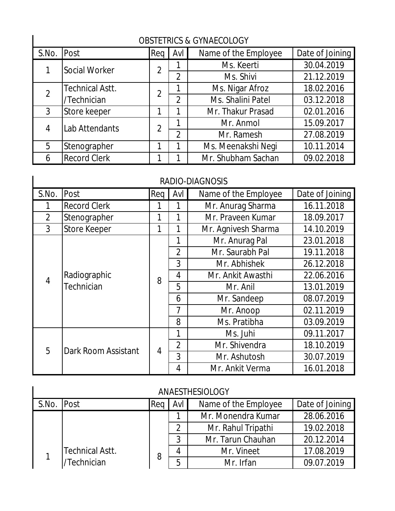| <b>OBSTETRICS &amp; GYNAECOLOGY</b> |                        |                |                |                      |                 |  |  |  |  |
|-------------------------------------|------------------------|----------------|----------------|----------------------|-----------------|--|--|--|--|
| S.No.                               | <b>Post</b>            | Req            | Avl            | Name of the Employee | Date of Joining |  |  |  |  |
|                                     | Social Worker          | $\overline{2}$ |                | Ms. Keerti           | 30.04.2019      |  |  |  |  |
|                                     |                        |                | 2              | Ms. Shivi            | 21.12.2019      |  |  |  |  |
|                                     | <b>Technical Astt.</b> | $\overline{2}$ |                | Ms. Nigar Afroz      | 18.02.2016      |  |  |  |  |
|                                     | /Technician            |                | $\mathfrak{D}$ | Ms. Shalini Patel    | 03.12.2018      |  |  |  |  |
| 3                                   | Store keeper           | 1              |                | Mr. Thakur Prasad    | 02.01.2016      |  |  |  |  |
| 4                                   | Lab Attendants         | $\overline{2}$ |                | Mr. Anmol            | 15.09.2017      |  |  |  |  |
|                                     |                        |                | $\overline{2}$ | Mr. Ramesh           | 27.08.2019      |  |  |  |  |
| 5                                   | Stenographer           | 1              |                | Ms. Meenakshi Neqi   | 10.11.2014      |  |  |  |  |
| 6                                   | <b>Record Clerk</b>    | 1              |                | Mr. Shubham Sachan   | 09.02.2018      |  |  |  |  |

#### O CULLECOLOGY

#### RADIO-DIAGNOSIS

| S.No.          | Post                       | Req                                                                           | Avl            | Name of the Employee | Date of Joining |
|----------------|----------------------------|-------------------------------------------------------------------------------|----------------|----------------------|-----------------|
|                | <b>Record Clerk</b>        |                                                                               |                | Mr. Anurag Sharma    | 16.11.2018      |
| $\overline{2}$ | Stenographer               |                                                                               | $\mathbf{1}$   | Mr. Praveen Kumar    | 18.09.2017      |
| 3              | <b>Store Keeper</b>        | 1                                                                             | 1              | Mr. Agnivesh Sharma  | 14.10.2019      |
|                |                            |                                                                               | 1              | Mr. Anurag Pal       | 23.01.2018      |
|                |                            |                                                                               | $\overline{2}$ | Mr. Saurabh Pal      | 19.11.2018      |
|                |                            | 3<br>4<br>8<br>5<br>6<br>7<br>8<br>1<br>$\overline{2}$<br>$\overline{4}$<br>3 |                | Mr. Abhishek         | 26.12.2018      |
|                | Radiographic<br>Technician |                                                                               |                | Mr. Ankit Awasthi    | 22.06.2016      |
|                |                            |                                                                               |                | Mr. Anil             | 13.01.2019      |
| $\overline{4}$ |                            |                                                                               |                | Mr. Sandeep          | 08.07.2019      |
|                |                            |                                                                               | Mr. Anoop      | 02.11.2019           |                 |
|                |                            |                                                                               |                | Ms. Pratibha         | 03.09.2019      |
|                |                            |                                                                               |                | Ms. Juhi             | 09.11.2017      |
|                |                            |                                                                               |                | Mr. Shivendra        | 18.10.2019      |
| 5              | Dark Room Assistant        |                                                                               |                | Mr. Ashutosh         | 30.07.2019      |
|                |                            |                                                                               | 4              | Mr. Ankit Verma      | 16.01.2018      |

#### ANAESTHESIOLOGY

| S.No. | <b>Post</b>            | Re <sub>o</sub> | Avl | Name of the Employee | Date of Joining |
|-------|------------------------|-----------------|-----|----------------------|-----------------|
|       |                        |                 |     | Mr. Monendra Kumar   | 28.06.2016      |
|       |                        |                 | ി   | Mr. Rahul Tripathi   | 19.02.2018      |
|       |                        |                 | 2   | Mr. Tarun Chauhan    | 20.12.2014      |
|       | <b>Technical Astt.</b> |                 |     | Mr. Vineet           | 17.08.2019      |
|       | Technician             |                 | 5   | Mr. Irfan            | 09.07.2019      |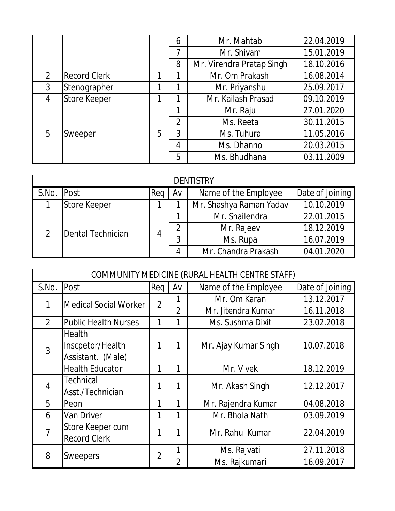|                |                     |   | 6              | Mr. Mahtab                | 22.04.2019 |
|----------------|---------------------|---|----------------|---------------------------|------------|
|                |                     |   | 7              | Mr. Shivam                | 15.01.2019 |
|                |                     |   | 8              | Mr. Virendra Pratap Singh | 18.10.2016 |
| $\overline{2}$ | <b>Record Clerk</b> |   |                | Mr. Om Prakash            | 16.08.2014 |
| $\mathfrak{Z}$ | Stenographer        |   |                | Mr. Priyanshu             | 25.09.2017 |
| 4              | <b>Store Keeper</b> |   |                | Mr. Kailash Prasad        | 09.10.2019 |
|                | Sweeper             | 5 | 1              | Mr. Raju                  | 27.01.2020 |
|                |                     |   | $\overline{2}$ | Ms. Reeta                 | 30.11.2015 |
| 5              |                     |   | 3              | Ms. Tuhura                | 11.05.2016 |
|                |                     |   | 4              | Ms. Dhanno                | 20.03.2015 |
|                |                     |   | 5              | Ms. Bhudhana              | 03.11.2009 |

#### **DENTISTRY**

|       | <b>DENTISTRY</b>    |     |               |                         |                 |  |  |  |  |  |
|-------|---------------------|-----|---------------|-------------------------|-----------------|--|--|--|--|--|
| S.No. | <b>Post</b>         | Reg | Avl           | Name of the Employee    | Date of Joining |  |  |  |  |  |
|       | <b>Store Keeper</b> |     |               | Mr. Shashya Raman Yadav | 10.10.2019      |  |  |  |  |  |
|       | Dental Technician   |     |               | Mr. Shailendra          | 22.01.2015      |  |  |  |  |  |
|       |                     | 4   | $\mathcal{D}$ | Mr. Rajeev              | 18.12.2019      |  |  |  |  |  |
|       |                     |     | 3             | Ms. Rupa                | 16.07.2019      |  |  |  |  |  |
|       |                     |     | 4             | Mr. Chandra Prakash     | 04.01.2020      |  |  |  |  |  |

|                | COMMUNITY MEDICINE (RURAL HEALTH CENTRE STAFF) |                |                |                      |                 |  |  |  |  |
|----------------|------------------------------------------------|----------------|----------------|----------------------|-----------------|--|--|--|--|
| S.No.          | Post                                           | Req            | Avl            | Name of the Employee | Date of Joining |  |  |  |  |
| 1              | <b>Medical Social Worker</b>                   | $\overline{2}$ |                | Mr. Om Karan         | 13.12.2017      |  |  |  |  |
|                |                                                |                | $\overline{2}$ | Mr. Jitendra Kumar   | 16.11.2018      |  |  |  |  |
| $\overline{2}$ | <b>Public Health Nurses</b>                    | 1              | 1              | Ms. Sushma Dixit     | 23.02.2018      |  |  |  |  |
|                | Health                                         |                |                |                      |                 |  |  |  |  |
| 3              | Inscpetor/Health                               | 1              | 1              | Mr. Ajay Kumar Singh | 10.07.2018      |  |  |  |  |
|                | Assistant. (Male)                              |                |                |                      |                 |  |  |  |  |
|                | <b>Health Educator</b>                         | 1              | 1              | Mr. Vivek            | 18.12.2019      |  |  |  |  |
| $\overline{4}$ | <b>Technical</b>                               | 1              | 1              | Mr. Akash Singh      | 12.12.2017      |  |  |  |  |
|                | Asst./Technician                               |                |                |                      |                 |  |  |  |  |
| 5              | Peon                                           | 1              | 1              | Mr. Rajendra Kumar   | 04.08.2018      |  |  |  |  |
| 6              | Van Driver                                     | 1              | 1              | Mr. Bhola Nath       | 03.09.2019      |  |  |  |  |
| $\overline{7}$ | Store Keeper cum                               | 1              | 1              | Mr. Rahul Kumar      | 22.04.2019      |  |  |  |  |
|                | <b>Record Clerk</b>                            |                |                |                      |                 |  |  |  |  |
| 8              |                                                | $\overline{2}$ | 1              | Ms. Rajvati          | 27.11.2018      |  |  |  |  |
|                | <b>Sweepers</b>                                |                | $\overline{2}$ | Ms. Rajkumari        | 16.09.2017      |  |  |  |  |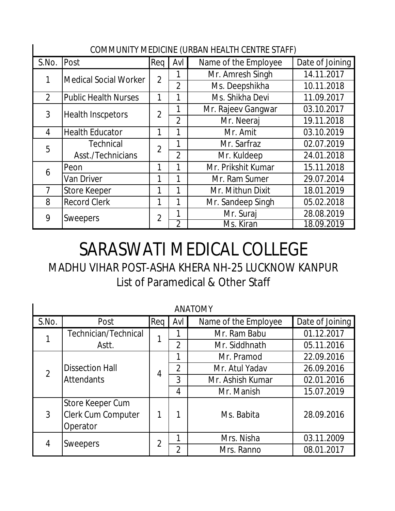| COMMUNITY MEDICINE (URBAN HEALTH CENTRE STAFF) |                              |                |                |                      |                 |  |  |
|------------------------------------------------|------------------------------|----------------|----------------|----------------------|-----------------|--|--|
| S.No.                                          | Post                         | Req            | Avl            | Name of the Employee | Date of Joining |  |  |
| 1                                              | <b>Medical Social Worker</b> | $\overline{2}$ |                | Mr. Amresh Singh     | 14.11.2017      |  |  |
|                                                |                              |                | $\overline{2}$ | Ms. Deepshikha       | 10.11.2018      |  |  |
| $\overline{2}$                                 | <b>Public Health Nurses</b>  | 1              | 1              | Ms. Shikha Devi      | 11.09.2017      |  |  |
| 3                                              | <b>Health Inscpetors</b>     | $\overline{2}$ |                | Mr. Rajeev Gangwar   | 03.10.2017      |  |  |
|                                                |                              |                | $\overline{2}$ | Mr. Neeraj           | 19.11.2018      |  |  |
| 4                                              | <b>Health Educator</b>       | 1              | 1              | Mr. Amit             | 03.10.2019      |  |  |
| 5                                              | <b>Technical</b>             | $\overline{2}$ | 1              | Mr. Sarfraz          | 02.07.2019      |  |  |
|                                                | Asst./Technicians            |                | $\overline{2}$ | Mr. Kuldeep          | 24.01.2018      |  |  |
| 6                                              | Peon                         | 1              |                | Mr. Prikshit Kumar   | 15.11.2018      |  |  |
|                                                | Van Driver                   | 1              | 1              | Mr. Ram Sumer        | 29.07.2014      |  |  |
| 7                                              | Store Keeper                 | 1              | 1              | Mr. Mithun Dixit     | 18.01.2019      |  |  |
| 8                                              | <b>Record Clerk</b>          | 1              |                | Mr. Sandeep Singh    | 05.02.2018      |  |  |
| 9                                              | <b>Sweepers</b>              | $\overline{2}$ | 1              | Mr. Suraj            | 28.08.2019      |  |  |
|                                                |                              |                | $\overline{2}$ | Ms. Kiran            | 18.09.2019      |  |  |

# SARASWATI MEDICAL COLLEGE

List of Paramedical & Other Staff MADHU VIHAR POST-ASHA KHERA NH-25 LUCKNOW KANPUR

|                | <b>ANATOMY</b>                                            |                |                |                      |                 |  |  |  |
|----------------|-----------------------------------------------------------|----------------|----------------|----------------------|-----------------|--|--|--|
| S.No.          | Post                                                      | Req            | Avl            | Name of the Employee | Date of Joining |  |  |  |
|                | Technician/Technical                                      |                |                | Mr. Ram Babu         | 01.12.2017      |  |  |  |
|                | Astt.                                                     |                | $\overline{2}$ | Mr. Siddhnath        | 05.11.2016      |  |  |  |
|                |                                                           |                | 1              | Mr. Pramod           | 22.09.2016      |  |  |  |
| $\overline{2}$ | <b>Dissection Hall</b><br><b>Attendants</b>               | $\overline{4}$ | $\overline{2}$ | Mr. Atul Yadav       | 26.09.2016      |  |  |  |
|                |                                                           |                | 3              | Mr. Ashish Kumar     | 02.01.2016      |  |  |  |
|                |                                                           |                | 4              | Mr. Manish           | 15.07.2019      |  |  |  |
| 3              | Store Keeper Cum<br><b>Clerk Cum Computer</b><br>Operator |                |                | Ms. Babita           | 28.09.2016      |  |  |  |
| 4              | <b>Sweepers</b>                                           | $\overline{2}$ |                | Mrs. Nisha           | 03.11.2009      |  |  |  |
|                |                                                           |                | $\overline{2}$ | Mrs. Ranno           | 08.01.2017      |  |  |  |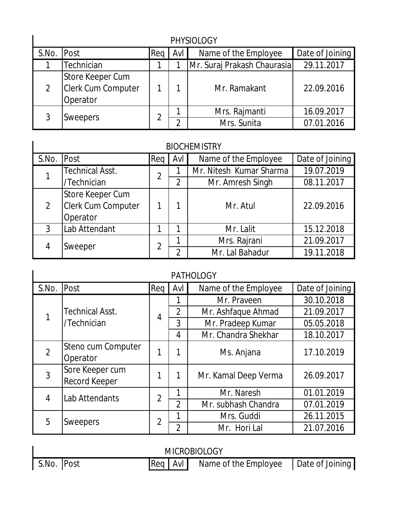|            | <b>PHYSIOLOGY</b>                                  |     |       |                             |                 |  |  |  |
|------------|----------------------------------------------------|-----|-------|-----------------------------|-----------------|--|--|--|
| S.No. Post |                                                    | Rea | AvI I | Name of the Employee        | Date of Joining |  |  |  |
|            | Technician                                         |     |       | Mr. Suraj Prakash Chaurasia | 29.11.2017      |  |  |  |
| 2          | Store Keeper Cum<br>Clerk Cum Computer<br>Operator |     |       | Mr. Ramakant                | 22.09.2016      |  |  |  |
| 3          | <b>Sweepers</b>                                    | າ   |       | Mrs. Rajmanti               | 16.09.2017      |  |  |  |
|            |                                                    |     |       | Mrs. Sunita                 | 07.01.2016      |  |  |  |

#### BIOCHEMISTRY

 $\mathbf I$ 

| S.No. | Post                      | Req            | Avl | Name of the Employee    | Date of Joining |
|-------|---------------------------|----------------|-----|-------------------------|-----------------|
|       | <b>Technical Asst.</b>    | $\overline{2}$ |     | Mr. Nitesh Kumar Sharma | 19.07.2019      |
|       | /Technician               |                | 2   | Mr. Amresh Singh        | 08.11.2017      |
|       | <b>Store Keeper Cum</b>   |                |     |                         |                 |
| 2     | <b>Clerk Cum Computer</b> |                |     | Mr. Atul                | 22.09.2016      |
|       | Operator                  |                |     |                         |                 |
| 3     | Lab Attendant             |                |     | Mr. Lalit               | 15.12.2018      |
| 4     | Sweeper                   | າ              |     | Mrs. Rajrani            | 21.09.2017      |
|       |                           |                | C   | Mr. Lal Bahadur         | 19.11.2018      |

| <b>PATHOLOGY</b> |                        |                |                |                      |                 |  |  |
|------------------|------------------------|----------------|----------------|----------------------|-----------------|--|--|
| S.No.            | Post                   | Req            | Avl            | Name of the Employee | Date of Joining |  |  |
|                  |                        |                |                | Mr. Praveen          | 30.10.2018      |  |  |
|                  | <b>Technical Asst.</b> | $\overline{4}$ | $\overline{2}$ | Mr. Ashfaque Ahmad   | 21.09.2017      |  |  |
|                  | /Technician            |                | 3              | Mr. Pradeep Kumar    | 05.05.2018      |  |  |
|                  |                        |                | 4              | Mr. Chandra Shekhar  | 18.10.2017      |  |  |
| $\overline{2}$   | Steno cum Computer     |                |                | Ms. Anjana           | 17.10.2019      |  |  |
|                  | Operator               |                |                |                      |                 |  |  |
| 3                | Sore Keeper cum        |                | 1              |                      | 26.09.2017      |  |  |
|                  | <b>Record Keeper</b>   |                |                | Mr. Kamal Deep Verma |                 |  |  |
| 4                | Lab Attendants         | $\overline{2}$ | 1              | Mr. Naresh           | 01.01.2019      |  |  |
|                  |                        |                | $\overline{2}$ | Mr. subhash Chandra  | 07.01.2019      |  |  |
| 5                |                        |                | 1              | Mrs. Guddi           | 26.11.2015      |  |  |
|                  | Sweepers               | 2              | $\overline{2}$ | Mr. Hori Lal         | 21.07.2016      |  |  |

| <b>MICROBIOLOGY</b> |  |  |  |                                                    |  |  |  |
|---------------------|--|--|--|----------------------------------------------------|--|--|--|
| S.No. Post          |  |  |  | Req   AvI   Name of the Employee   Date of Joining |  |  |  |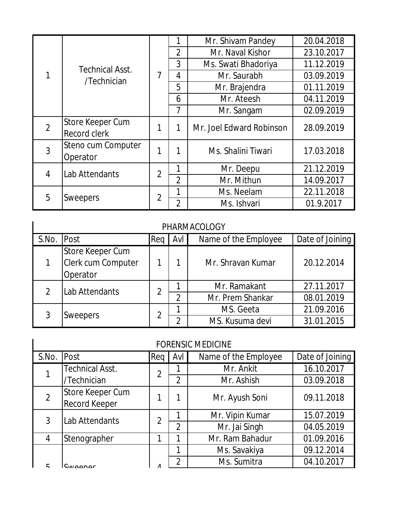|                |                                |                |                | Mr. Shivam Pandey        | 20.04.2018 |
|----------------|--------------------------------|----------------|----------------|--------------------------|------------|
|                |                                |                | $\overline{2}$ | Mr. Naval Kishor         | 23.10.2017 |
|                | <b>Technical Asst.</b>         |                | 3              | Ms. Swati Bhadoriya      | 11.12.2019 |
|                | /Technician                    | 7              | 4              | Mr. Saurabh              | 03.09.2019 |
|                |                                |                | 5              | Mr. Brajendra            | 01.11.2019 |
|                |                                |                | 6              | Mr. Ateesh               | 04.11.2019 |
|                |                                |                | 7              | Mr. Sangam               | 02.09.2019 |
| $\overline{2}$ | Store Keeper Cum               |                |                | Mr. Joel Edward Robinson | 28.09.2019 |
|                | Record clerk                   |                |                |                          |            |
| 3              | Steno cum Computer<br>Operator | 1              |                | Ms. Shalini Tiwari       | 17.03.2018 |
| 4              | Lab Attendants                 | $\overline{2}$ | 1              | Mr. Deepu                | 21.12.2019 |
|                |                                |                | $\overline{2}$ | Mr. Mithun               | 14.09.2017 |
| 5              |                                | $\overline{2}$ | 1              | Ms. Neelam               | 22.11.2018 |
|                | <b>Sweepers</b>                |                | $\overline{2}$ | Ms. Ishvari              | 01.9.2017  |

#### PHARMACOLOGY

| S.No. Post |                                                    | Rea | Avl           | Name of the Employee | Date of Joining |
|------------|----------------------------------------------------|-----|---------------|----------------------|-----------------|
|            | Store Keeper Cum<br>Clerk cum Computer<br>Operator |     |               | Mr. Shravan Kumar    | 20.12.2014      |
|            | Lab Attendants                                     | 2   |               | Mr. Ramakant         | 27.11.2017      |
|            |                                                    |     | $\mathcal{D}$ | Mr. Prem Shankar     | 08.01.2019      |
|            | <b>Sweepers</b>                                    |     |               | MS. Geeta            | 21.09.2016      |
|            |                                                    |     | ∩             | MS. Kusuma devi      | 31.01.2015      |

| <b>FORENSIC MEDICINE</b> |                                   |                |                |                      |                 |  |  |
|--------------------------|-----------------------------------|----------------|----------------|----------------------|-----------------|--|--|
| S.No.                    | Post                              | Req            | Avl            | Name of the Employee | Date of Joining |  |  |
|                          | <b>Technical Asst.</b>            | $\mathfrak{D}$ |                | Mr. Ankit            | 16.10.2017      |  |  |
|                          | /Technician                       |                | $\overline{2}$ | Mr. Ashish           | 03.09.2018      |  |  |
| $\overline{2}$           | Store Keeper Cum<br>Record Keeper |                |                | Mr. Ayush Soni       | 09.11.2018      |  |  |
| 3                        | Lab Attendants                    | $\mathfrak{D}$ |                | Mr. Vipin Kumar      | 15.07.2019      |  |  |
|                          |                                   |                | $\overline{2}$ | Mr. Jai Singh        | 04.05.2019      |  |  |
| 4                        | Stenographer                      |                |                | Mr. Ram Bahadur      | 01.09.2016      |  |  |
|                          |                                   |                | 1              | Ms. Savakiya         | 09.12.2014      |  |  |
| г                        | nor                               |                | າ              | Ms. Sumitra          | 04.10.2017      |  |  |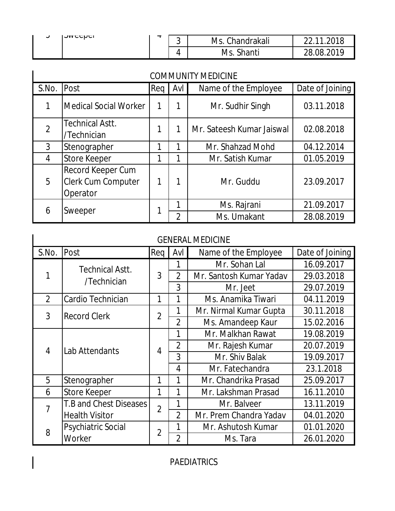| ັ | <b>IOMACCHCL</b> | <br>⌒<br>ັ | Chandrakali<br>Ms. |                   |
|---|------------------|------------|--------------------|-------------------|
|   |                  | 4          | Shanti<br>Ms       | ാറ10<br>28<br>ng. |

| <b>COMMUNITY MEDICINE</b> |                                                            |     |                |                           |                 |  |  |
|---------------------------|------------------------------------------------------------|-----|----------------|---------------------------|-----------------|--|--|
| S.No.                     | <b>Post</b>                                                | Req | Avl            | Name of the Employee      | Date of Joining |  |  |
|                           | Medical Social Worker                                      |     |                | Mr. Sudhir Singh          | 03.11.2018      |  |  |
| $\overline{2}$            | <b>Technical Astt.</b><br>/Technician                      |     |                | Mr. Sateesh Kumar Jaiswal | 02.08.2018      |  |  |
| 3                         | Stenographer                                               |     |                | Mr. Shahzad Mohd          | 04.12.2014      |  |  |
| 4                         | <b>Store Keeper</b>                                        |     |                | Mr. Satish Kumar          | 01.05.2019      |  |  |
| 5                         | Record Keeper Cum<br><b>Clerk Cum Computer</b><br>Operator |     |                | Mr. Guddu                 | 23.09.2017      |  |  |
| 6                         |                                                            |     |                | Ms. Rajrani               | 21.09.2017      |  |  |
|                           | Sweeper                                                    |     | $\overline{2}$ | Ms. Umakant               | 28.08.2019      |  |  |

| <b>GENERAL MEDICINE</b> |                               |                |                |                         |                 |  |  |  |
|-------------------------|-------------------------------|----------------|----------------|-------------------------|-----------------|--|--|--|
| S.No.                   | Post                          | Reg            | Avl            | Name of the Employee    | Date of Joining |  |  |  |
|                         | <b>Technical Astt.</b>        |                | 1              | Mr. Sohan Lal           | 16.09.2017      |  |  |  |
| 1                       | /Technician                   | 3              | $\overline{2}$ | Mr. Santosh Kumar Yadav | 29.03.2018      |  |  |  |
|                         |                               |                | 3              | Mr. Jeet                | 29.07.2019      |  |  |  |
| $\overline{2}$          | Cardio Technician             | 1              | 1              | Ms. Anamika Tiwari      | 04.11.2019      |  |  |  |
| 3                       | <b>Record Clerk</b>           | $\overline{2}$ | 1              | Mr. Nirmal Kumar Gupta  | 30.11.2018      |  |  |  |
|                         |                               |                | $\overline{2}$ | Ms. Amandeep Kaur       | 15.02.2016      |  |  |  |
|                         | Lab Attendants                | 4              | 1              | Mr. Malkhan Rawat       | 19.08.2019      |  |  |  |
| 4                       |                               |                | $\overline{2}$ | Mr. Rajesh Kumar        | 20.07.2019      |  |  |  |
|                         |                               |                | 3              | Mr. Shiv Balak          | 19.09.2017      |  |  |  |
|                         |                               |                | 4              | Mr. Fatechandra         | 23.1.2018       |  |  |  |
| 5                       | Stenographer                  | 1              |                | Mr. Chandrika Prasad    | 25.09.2017      |  |  |  |
| 6                       | <b>Store Keeper</b>           | 1              | 1              | Mr. Lakshman Prasad     | 16.11.2010      |  |  |  |
| 7                       | <b>T.B and Chest Diseases</b> | $\overline{2}$ |                | Mr. Balveer             | 13.11.2019      |  |  |  |
|                         | <b>Health Visitor</b>         |                | $\overline{2}$ | Mr. Prem Chandra Yadav  | 04.01.2020      |  |  |  |
| 8                       | <b>Psychiatric Social</b>     | $\overline{2}$ |                | Mr. Ashutosh Kumar      | 01.01.2020      |  |  |  |
|                         | Worker                        |                | $\overline{2}$ | Ms. Tara                | 26.01.2020      |  |  |  |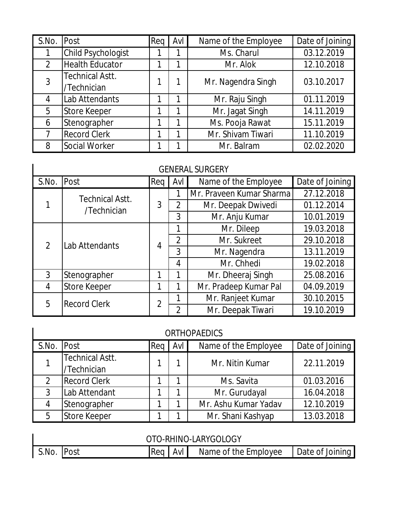| S.No. | Post                   | Req | Avl | Name of the Employee | Date of Joining |
|-------|------------------------|-----|-----|----------------------|-----------------|
|       | Child Psychologist     |     |     | Ms. Charul           | 03.12.2019      |
| 2     | <b>Health Educator</b> |     |     | Mr. Alok             | 12.10.2018      |
| 3     | <b>Technical Astt.</b> |     |     | Mr. Nagendra Singh   | 03.10.2017      |
|       | /Technician            |     |     |                      |                 |
| 4     | Lab Attendants         |     |     | Mr. Raju Singh       | 01.11.2019      |
| 5     | <b>Store Keeper</b>    |     |     | Mr. Jagat Singh      | 14.11.2019      |
| 6     | Stenographer           |     |     | Ms. Pooja Rawat      | 15.11.2019      |
|       | <b>Record Clerk</b>    |     |     | Mr. Shivam Tiwari    | 11.10.2019      |
| 8     | Social Worker          |     |     | Mr. Balram           | 02.02.2020      |

#### GENERAL SURGERY

|                | <b>GENERAL SURGERY</b> |                |                |                          |                 |  |  |  |  |
|----------------|------------------------|----------------|----------------|--------------------------|-----------------|--|--|--|--|
| S.No.          | Post                   | Req            | Avl            | Name of the Employee     | Date of Joining |  |  |  |  |
|                | <b>Technical Astt.</b> |                |                | Mr. Praveen Kumar Sharma | 27.12.2018      |  |  |  |  |
|                | /Technician            | 3              | $\overline{2}$ | Mr. Deepak Dwivedi       | 01.12.2014      |  |  |  |  |
|                |                        |                | 3              | Mr. Anju Kumar           | 10.01.2019      |  |  |  |  |
|                | Lab Attendants         | 4              | 1              | Mr. Dileep               | 19.03.2018      |  |  |  |  |
| $\overline{2}$ |                        |                | $\overline{2}$ | Mr. Sukreet              | 29.10.2018      |  |  |  |  |
|                |                        |                | 3              | Mr. Nagendra             | 13.11.2019      |  |  |  |  |
|                |                        |                | 4              | Mr. Chhedi               | 19.02.2018      |  |  |  |  |
| 3              | Stenographer           | 1              | 1              | Mr. Dheeraj Singh        | 25.08.2016      |  |  |  |  |
| 4              | <b>Store Keeper</b>    | 1              |                | Mr. Pradeep Kumar Pal    | 04.09.2019      |  |  |  |  |
| 5              | <b>Record Clerk</b>    | $\overline{2}$ |                | Mr. Ranjeet Kumar        | 30.10.2015      |  |  |  |  |
|                |                        |                | $\overline{2}$ | Mr. Deepak Tiwari        | 19.10.2019      |  |  |  |  |

 $\mathsf{I}$ 

| S.No. Post |                                       | Req | Avl I | Name of the Employee | Date of Joining |
|------------|---------------------------------------|-----|-------|----------------------|-----------------|
|            | <b>Technical Astt.</b><br>/Technician |     |       | Mr. Nitin Kumar      | 22.11.2019      |
| 2          | <b>Record Clerk</b>                   |     |       | Ms. Savita           | 01.03.2016      |
| 3          | Lab Attendant                         |     |       | Mr. Gurudayal        | 16.04.2018      |
| 4          | Stenographer                          |     |       | Mr. Ashu Kumar Yadav | 12.10.2019      |
| 5          | Store Keeper                          |     |       | Mr. Shani Kashyap    | 13.03.2018      |

| OTO-RHINO-LARYGOLOGY |  |            |  |                      |                 |  |
|----------------------|--|------------|--|----------------------|-----------------|--|
| S.No. Post           |  | $Real$ AvI |  | Name of the Employee | Date of Joining |  |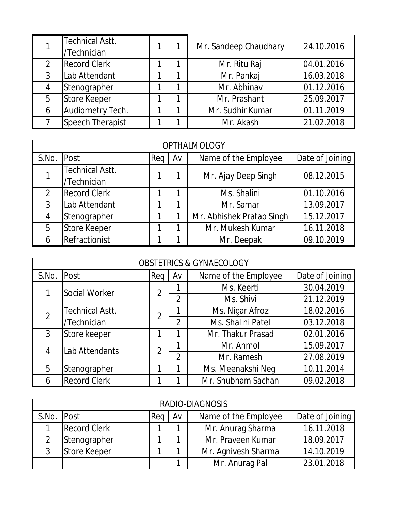|   | <b>Technical Astt.</b><br>/Technician |  | Mr. Sandeep Chaudhary | 24.10.2016 |
|---|---------------------------------------|--|-----------------------|------------|
| 2 | <b>Record Clerk</b>                   |  | Mr. Ritu Raj          | 04.01.2016 |
| 3 | Lab Attendant                         |  | Mr. Pankaj            | 16.03.2018 |
| 4 | Stenographer                          |  | Mr. Abhinav           | 01.12.2016 |
| 5 | <b>Store Keeper</b>                   |  | Mr. Prashant          | 25.09.2017 |
| 6 | Audiometry Tech.                      |  | Mr. Sudhir Kumar      | 01.11.2019 |
|   | <b>Speech Therapist</b>               |  | Mr. Akash             | 21.02.2018 |

#### OPTHALMOLOGY

I

 $\mathsf{l}$ 

| S.No. | Post                                  | Rea | Avl | Name of the Employee      | Date of Joining |
|-------|---------------------------------------|-----|-----|---------------------------|-----------------|
|       | <b>Technical Astt.</b><br>/Technician |     |     | Mr. Ajay Deep Singh       | 08.12.2015      |
| 2     | <b>Record Clerk</b>                   |     |     | Ms. Shalini               | 01.10.2016      |
| 3     | Lab Attendant                         |     |     | Mr. Samar                 | 13.09.2017      |
|       | Stenographer                          |     |     | Mr. Abhishek Pratap Singh | 15.12.2017      |
| 5     | <b>Store Keeper</b>                   |     |     | Mr. Mukesh Kumar          | 16.11.2018      |
|       | Refractionist                         |     |     | Mr. Deepak                | 09.10.2019      |

#### OBSTETRICS & GYNAECOLOGY

| S.No.          | Post                   | Req            | Avl            | Name of the Employee | Date of Joining |
|----------------|------------------------|----------------|----------------|----------------------|-----------------|
|                | Social Worker          | $\overline{2}$ |                | Ms. Keerti           | 30.04.2019      |
|                |                        |                | $\overline{2}$ | Ms. Shivi            | 21.12.2019      |
| $\overline{2}$ | <b>Technical Astt.</b> | $\overline{2}$ |                | Ms. Nigar Afroz      | 18.02.2016      |
|                | /Technician            |                | $\mathfrak{D}$ | Ms. Shalini Patel    | 03.12.2018      |
| 3              | Store keeper           |                | 1              | Mr. Thakur Prasad    | 02.01.2016      |
| 4              | Lab Attendants         | $\overline{2}$ |                | Mr. Anmol            | 15.09.2017      |
|                |                        |                | $\mathfrak{D}$ | Mr. Ramesh           | 27.08.2019      |
| 5              | Stenographer           |                |                | Ms. Meenakshi Negi   | 10.11.2014      |
| 6              | <b>Record Clerk</b>    |                |                | Mr. Shubham Sachan   | 09.02.2018      |

|            | RADIO-DIAGNOSIS     |     |     |                      |                 |  |  |  |
|------------|---------------------|-----|-----|----------------------|-----------------|--|--|--|
| S.No. Post |                     | Reg | Avl | Name of the Employee | Date of Joining |  |  |  |
|            | <b>Record Clerk</b> |     |     | Mr. Anurag Sharma    | 16.11.2018      |  |  |  |
|            | Stenographer        |     |     | Mr. Praveen Kumar    | 18.09.2017      |  |  |  |
|            | Store Keeper        |     |     | Mr. Agnivesh Sharma  | 14.10.2019      |  |  |  |
|            |                     |     |     | Mr. Anurag Pal       | 23.01.2018      |  |  |  |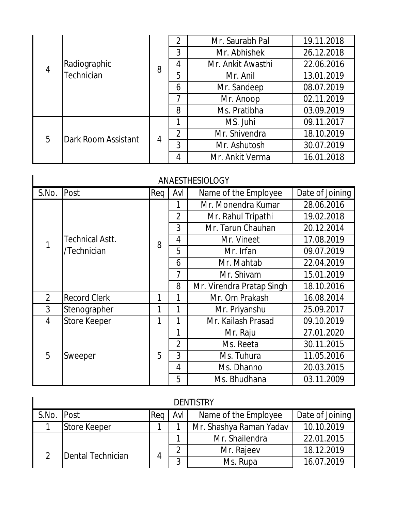|                |                     |                | $\overline{2}$ | Mr. Saurabh Pal   | 19.11.2018 |
|----------------|---------------------|----------------|----------------|-------------------|------------|
|                |                     |                | 3              | Mr. Abhishek      | 26.12.2018 |
| $\overline{4}$ | Radiographic        | 8              | 4              | Mr. Ankit Awasthi | 22.06.2016 |
|                | <b>Technician</b>   |                | 5              | Mr. Anil          | 13.01.2019 |
|                |                     |                | 6              | Mr. Sandeep       | 08.07.2019 |
|                |                     |                | 7              | Mr. Anoop         | 02.11.2019 |
|                |                     |                | 8              | Ms. Pratibha      | 03.09.2019 |
|                | Dark Room Assistant | $\overline{4}$ | 1              | MS. Juhi          | 09.11.2017 |
| 5              |                     |                | $\overline{2}$ | Mr. Shivendra     | 18.10.2019 |
|                |                     |                | 3              | Mr. Ashutosh      | 30.07.2019 |
|                |                     |                | 4              | Mr. Ankit Verma   | 16.01.2018 |

#### ANAESTHESIOLOGY

| S.No.          | Post                   | Req | Avl            | Name of the Employee      | Date of Joining |
|----------------|------------------------|-----|----------------|---------------------------|-----------------|
|                |                        |     |                | Mr. Monendra Kumar        | 28.06.2016      |
|                |                        |     | $\overline{2}$ | Mr. Rahul Tripathi        | 19.02.2018      |
|                |                        |     | 3              | Mr. Tarun Chauhan         | 20.12.2014      |
| 1              | <b>Technical Astt.</b> | 8   | 4              | Mr. Vineet                | 17.08.2019      |
|                | /Technician            |     | 5              | Mr. Irfan                 | 09.07.2019      |
|                |                        |     | 6              | Mr. Mahtab                | 22.04.2019      |
|                |                        |     | 7              | Mr. Shivam                | 15.01.2019      |
|                |                        |     | 8              | Mr. Virendra Pratap Singh | 18.10.2016      |
| $\overline{2}$ | <b>Record Clerk</b>    | 1   | 1              | Mr. Om Prakash            | 16.08.2014      |
| 3              | Stenographer           | 1   | 1              | Mr. Priyanshu             | 25.09.2017      |
| 4              | <b>Store Keeper</b>    | 1   | 1              | Mr. Kailash Prasad        | 09.10.2019      |
|                |                        |     | 1              | Mr. Raju                  | 27.01.2020      |
|                |                        |     | $\overline{2}$ | Ms. Reeta                 | 30.11.2015      |
| 5              | Sweeper                | 5   | 3              | Ms. Tuhura                | 11.05.2016      |
|                |                        |     | 4              | Ms. Dhanno                | 20.03.2015      |
|                |                        |     | 5              | Ms. Bhudhana              | 03.11.2009      |

| <b>DENTISTRY</b> |                   |     |     |                         |                 |  |  |
|------------------|-------------------|-----|-----|-------------------------|-----------------|--|--|
| S.No.            | Post              | Req | Avl | Name of the Employee    | Date of Joining |  |  |
|                  | Store Keeper      |     |     | Mr. Shashya Raman Yadav | 10.10.2019      |  |  |
|                  |                   |     |     | Mr. Shailendra          | 22.01.2015      |  |  |
| $\overline{2}$   | Dental Technician |     | ◠   | Mr. Rajeev              | 18.12.2019      |  |  |
|                  |                   |     | າ   | Ms. Rupa                | 16.07.2019      |  |  |